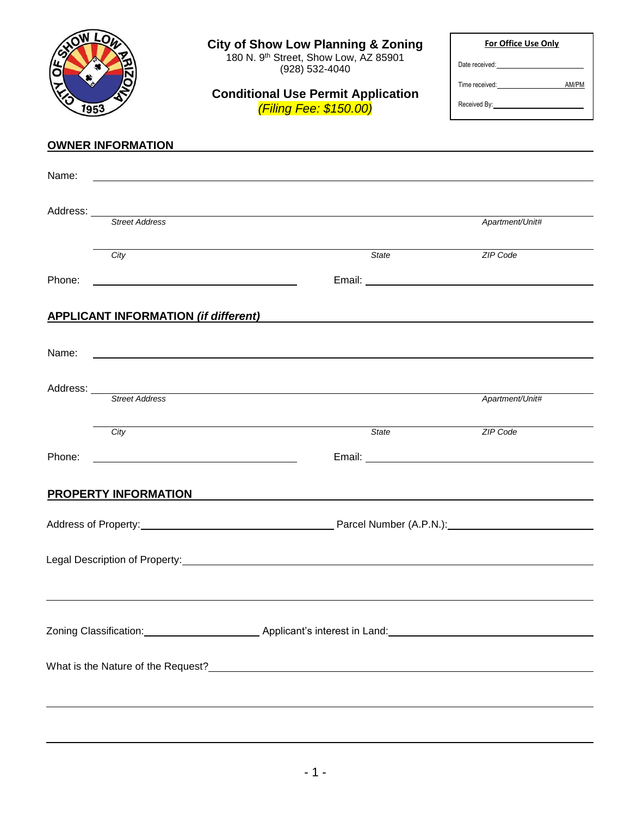| 1953                        | <b>City of Show Low Planning &amp; Zoning</b><br>180 N. 9th Street, Show Low, AZ 85901<br>(928) 532-4040<br><b>Conditional Use Permit Application</b><br>(Filing Fee: \$150.00) | For Office Use Only<br>Date received: National Contract of the Contract of the Contract of the Contract of the Contract of the Contract of the Contract of the Contract of the Contract of the Contract of the Contract of the Contract of the Contra<br>Time received: AM/PM |  |
|-----------------------------|---------------------------------------------------------------------------------------------------------------------------------------------------------------------------------|-------------------------------------------------------------------------------------------------------------------------------------------------------------------------------------------------------------------------------------------------------------------------------|--|
| <b>OWNER INFORMATION</b>    |                                                                                                                                                                                 |                                                                                                                                                                                                                                                                               |  |
| Name:                       |                                                                                                                                                                                 |                                                                                                                                                                                                                                                                               |  |
|                             | Address: <u>Street Address</u>                                                                                                                                                  | Apartment/Unit#                                                                                                                                                                                                                                                               |  |
| City                        | State                                                                                                                                                                           | ZIP Code                                                                                                                                                                                                                                                                      |  |
| Phone:                      |                                                                                                                                                                                 |                                                                                                                                                                                                                                                                               |  |
|                             | <b>APPLICANT INFORMATION (if different)</b>                                                                                                                                     |                                                                                                                                                                                                                                                                               |  |
| Name:                       |                                                                                                                                                                                 |                                                                                                                                                                                                                                                                               |  |
| Address:                    | <u> 1989 - John Stein, Amerikaansk politiker (</u><br>Street Address                                                                                                            | Apartment/Unit#                                                                                                                                                                                                                                                               |  |
| City                        | State                                                                                                                                                                           | ZIP Code                                                                                                                                                                                                                                                                      |  |
| Phone:                      | <u> 1989 - Johann Barbara, martin amerikan basar dan berasal dalam basa dan berasal dalam basa dalam basa dalam </u>                                                            | Email: <u>Alexander Alexander Alexander Alexander Alexander Alexander Alexander Alexander Alexander Alexander Alexander Alexander Alexander Alexander Alexander Alexander Alexander Alexander Alexander Alexander Alexander Alex</u>                                          |  |
| <b>PROPERTY INFORMATION</b> |                                                                                                                                                                                 |                                                                                                                                                                                                                                                                               |  |
|                             |                                                                                                                                                                                 |                                                                                                                                                                                                                                                                               |  |
|                             |                                                                                                                                                                                 |                                                                                                                                                                                                                                                                               |  |
|                             | ,我们也不会有什么。""我们的人,我们也不会有什么?""我们的人,我们也不会有什么?""我们的人,我们也不会有什么?""我们的人,我们也不会有什么?""我们的人                                                                                                |                                                                                                                                                                                                                                                                               |  |
|                             | What is the Nature of the Request?<br><u> What is the Nature of the Request?</u>                                                                                                |                                                                                                                                                                                                                                                                               |  |
|                             | ,我们也不会有什么。""我们的人,我们也不会有什么?""我们的人,我们也不会有什么?""我们的人,我们也不会有什么?""我们的人,我们也不会有什么?""我们的人                                                                                                |                                                                                                                                                                                                                                                                               |  |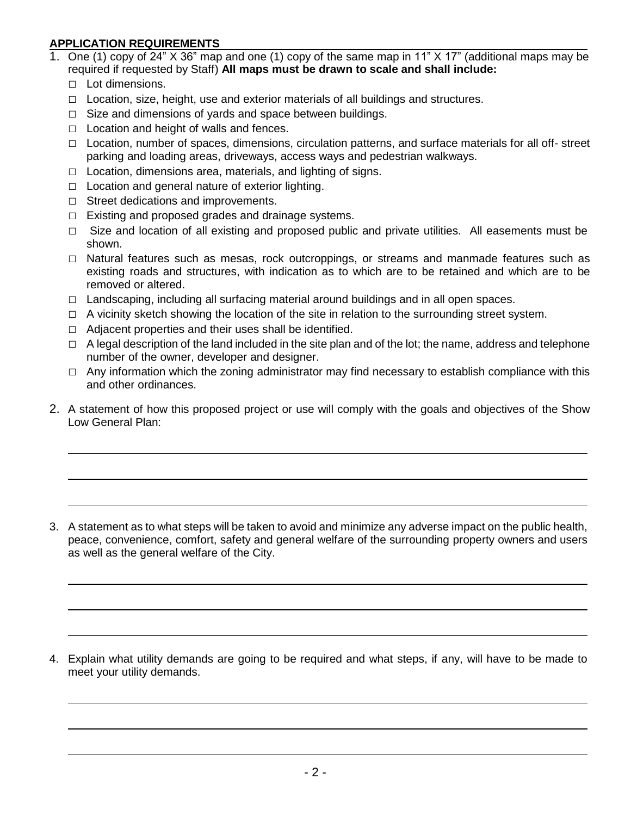## **APPLICATION REQUIREMENTS**

- 1. One (1) copy of 24" X 36" map and one (1) copy of the same map in 11" X 17" (additional maps may be required if requested by Staff) **All maps must be drawn to scale and shall include:**
	- □ Lot dimensions.
	- $\Box$  Location, size, height, use and exterior materials of all buildings and structures.
	- $\Box$  Size and dimensions of yards and space between buildings.
	- $\Box$  Location and height of walls and fences.
	- $\Box$  Location, number of spaces, dimensions, circulation patterns, and surface materials for all off- street parking and loading areas, driveways, access ways and pedestrian walkways.
	- □ Location, dimensions area, materials, and lighting of signs.
	- $\Box$  Location and general nature of exterior lighting.
	- □ Street dedications and improvements.
	- $\Box$  Existing and proposed grades and drainage systems.
	- $\Box$  Size and location of all existing and proposed public and private utilities. All easements must be shown.
	- □ Natural features such as mesas, rock outcroppings, or streams and manmade features such as existing roads and structures, with indication as to which are to be retained and which are to be removed or altered.
	- □ Landscaping, including all surfacing material around buildings and in all open spaces.
	- $\Box$  A vicinity sketch showing the location of the site in relation to the surrounding street system.
	- $\Box$  Adjacent properties and their uses shall be identified.
	- $\Box$  A legal description of the land included in the site plan and of the lot; the name, address and telephone number of the owner, developer and designer.
	- $\Box$  Any information which the zoning administrator may find necessary to establish compliance with this and other ordinances.
- 2. A statement of how this proposed project or use will comply with the goals and objectives of the Show Low General Plan:

3. A statement as to what steps will be taken to avoid and minimize any adverse impact on the public health, peace, convenience, comfort, safety and general welfare of the surrounding property owners and users as well as the general welfare of the City.

4. Explain what utility demands are going to be required and what steps, if any, will have to be made to meet your utility demands.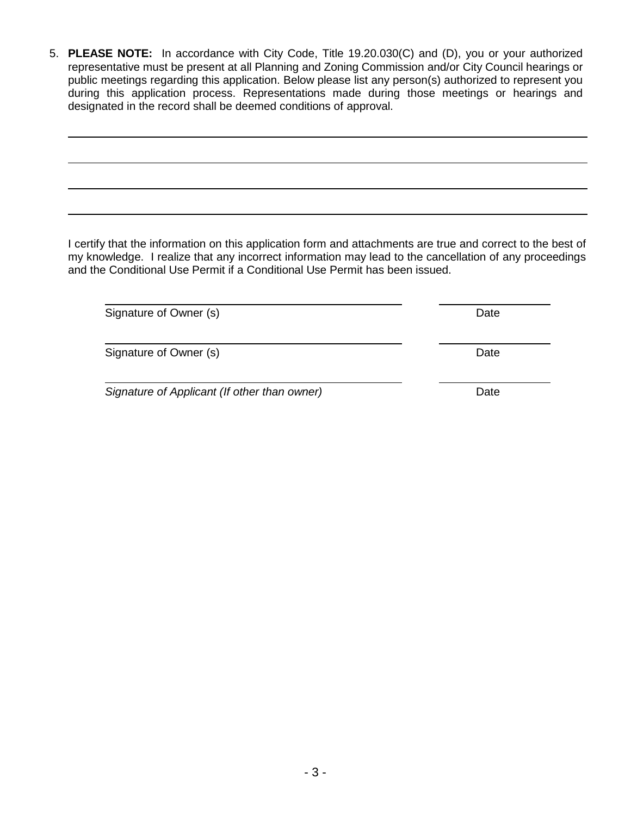5. **PLEASE NOTE:** In accordance with City Code, Title 19.20.030(C) and (D), you or your authorized representative must be present at all Planning and Zoning Commission and/or City Council hearings or public meetings regarding this application. Below please list any person(s) authorized to represent you during this application process. Representations made during those meetings or hearings and designated in the record shall be deemed conditions of approval.

I certify that the information on this application form and attachments are true and correct to the best of my knowledge. I realize that any incorrect information may lead to the cancellation of any proceedings and the Conditional Use Permit if a Conditional Use Permit has been issued.

Signature of Owner (s) and the state of  $\sum_{n=1}^{\infty}$  Date

Signature of Owner (s) Date

*Signature of Applicant (If other than owner)* Date

- 3 -